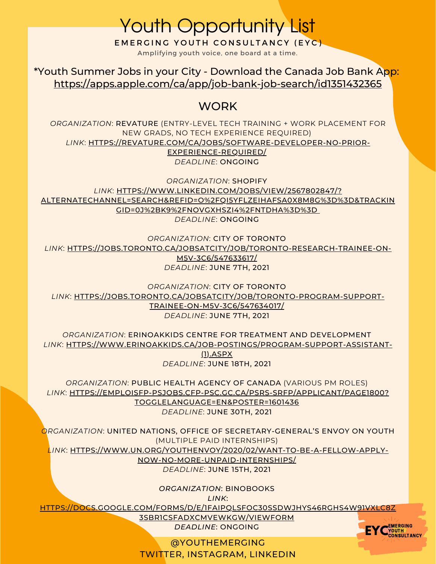EMERGING YOUTH CONSULTANCY (EYC) Youth Opportunity List

Amplifying youth voice, one board at a time.

<https://apps.apple.com/ca/app/job-bank-job-search/id1351432365> \*Youth Summer Jobs in your City - Download the Canada Job Bank App:

## **WORK**

*ORGANIZATION*: REVATURE (ENTRY-LEVEL TECH TRAINING + WORK PLACEMENT FOR NEW GRADS, NO TECH EXPERIENCE REQUIRED) *LINK*: [HTTPS://REVATURE.COM/CA/JOBS/SOFTWARE-DEVELOPER-NO-PRIOR-](https://revature.com/ca/jobs/software-developer-no-prior-experience-required/)EXPERIENCE-REQUIRED/ *DEADLINE*: ONGOING

*ORGANIZATION*: SHOPIFY *LINK*: HTTPS://WWW.LINKEDIN.COM/JOBS/VIEW/2567802847/? [ALTERNATECHANNEL=SEARCH&REFID=O%2FQI5YFLZEIHAFSA0X8M8G%3D%3D&TRACKIN](https://www.linkedin.com/jobs/view/2567802847/?alternateChannel=search&refId=O%2Fqi5YFLzEiHAFSa0X8M8g%3D%3D&trackingId=0j%2BK9%2FNOVGXHsZi4%2FNtdHA%3D%3D) GID=0J%2BK9%2FNOVGXHSZI4%2FNTDHA%3D%3D *DEADLINE*: ONGOING

*ORGANIZATION*: CITY OF TORONTO *LINK*: [HTTPS://JOBS.TORONTO.CA/JOBSATCITY/JOB/TORONTO-RESEARCH-TRAINEE-ON-](https://jobs.toronto.ca/jobsatcity/job/Toronto-RESEARCH-TRAINEE-ON-M5V-3C6/547633617/)M5V-3C6/547633617/ *DEADLINE*: JUNE 7TH, 2021

*ORGANIZATION*: CITY OF TORONTO *LINK*: [HTTPS://JOBS.TORONTO.CA/JOBSATCITY/JOB/TORONTO-PROGRAM-SUPPORT-](https://jobs.toronto.ca/jobsatcity/job/Toronto-RESEARCH-TRAINEE-ON-M5V-3C6/547633617/)TRAINEE-ON-M5V-3C6/547634017/ *DEADLINE*: JUNE 7TH, 2021

*ORGANIZATION*: ERINOAKKIDS CENTRE FOR TREATMENT AND DEVELOPMENT *LINK*: [HTTPS://WWW.ERINOAKKIDS.CA/JOB-POSTINGS/PROGRAM-SUPPORT-ASSISTANT-](https://www.erinoakkids.ca/Job-postings/Program-Support-Assistant-(1).aspx) (1).ASPX *DEADLINE*: JUNE 18TH, 2021

*ORGANIZATION*: PUBLIC HEALTH AGENCY OF CANADA (VARIOUS PM ROLES) *LINK*: [HTTPS://EMPLOISFP-PSJOBS.CFP-PSC.GC.CA/PSRS-SRFP/APPLICANT/PAGE1800?](https://emploisfp-psjobs.cfp-psc.gc.ca/psrs-srfp/applicant/page1800?toggleLanguage=en&poster=1601436) TOGGLELANGUAGE=EN&POSTER=1601436 *DEADLINE*: JUNE 30TH, 2021

*ORGANIZATION*: UNITED NATIONS, OFFICE OF SECRETARY-GENERAL'S ENVOY ON YOUTH (MULTIPLE PAID INTERNSHIPS) *LINK*: [HTTPS://WWW.UN.ORG/YOUTHENVOY/2020/02/WANT-TO-BE-A-FELLOW-APPLY-](https://www.un.org/youthenvoy/2020/02/want-to-be-a-fellow-apply-now-no-more-unpaid-internships/)NOW-NO-MORE-UNPAID-INTERNSHIPS/ *DEADLINE*: JUNE 15TH, 2021

*ORGANIZATION*: BINOBOOKS

*LINK*:

[HTTPS://DOCS.GOOGLE.COM/FORMS/D/E/1FAIPQLSFOC30SSDWJHYS46RGHS4W91VXLC8Z](https://docs.google.com/forms/d/e/1FAIpQLSfoC30SSDWJhyS46RgHs4w91vxLC8Z3sBR1cSfADXCMvEWkGw/viewform)

3SBR1CSFADXCMVEWKGW/VIEWFORM *DEADLINE*: ONGOING



@YOUTHEMERGING TWITTER, INSTAGRAM, LINKEDIN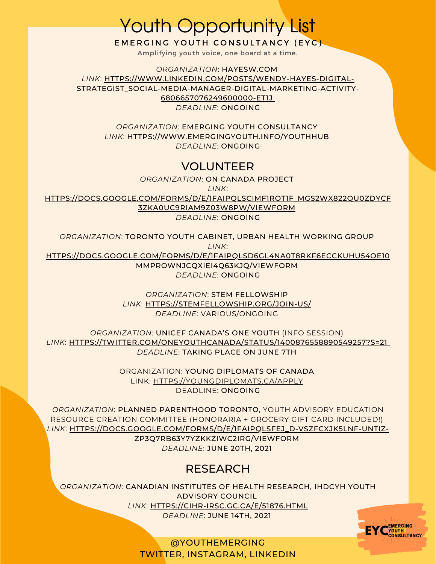Youth Opportunity List

EMERGING YOUTH CONSULTANCY (EYC)

Amplifying youth voice, one board at a time.

*ORGANIZATION*: HAYESW.COM *LINK*: HTTPS://WWW.LINKEDIN.COM/POSTS/WENDY-HAYES-DIGITAL-[STRATEGIST\\_SOCIAL-MEDIA-MANAGER-DIGITAL-MARKETING-ACTIVITY-](https://www.linkedin.com/posts/wendy-hayes-digital-strategist_social-media-manager-digital-marketing-activity-6806657076249600000-et1j)6806657076249600000-ET1J

*DEADLINE*: ONGOING

*ORGANIZATION*: EMERGING YOUTH CONSULTANCY *LINK*: [HTTPS://WWW.EMERGINGYOUTH.INFO/YOUTHHUB](https://www.emergingyouth.info/youthhub) *DEADLINE*: ONGOING

## VOLUNTEER

*ORGANIZATION*: ON CANADA PROJECT

*LINK*:

[HTTPS://DOCS.GOOGLE.COM/FORMS/D/E/1FAIPQLSCIMF1ROT1F\\_MGS2WX822QU0ZDYCF](https://docs.google.com/forms/d/e/1FAIpQLSciMF1ROT1f_mGS2Wx822QU0zDYcf3zka0UC9rIAM9z03W8Pw/viewform) 3ZKA0UC9RIAM9Z03W8PW/VIEWFORM

*DEADLINE*: ONGOING

*ORGANIZATION*: TORONTO YOUTH CABINET, URBAN HEALTH WORKING GROUP *LINK*: [HTTPS://DOCS.GOOGLE.COM/FORMS/D/E/1FAIPQLSD6GL4NA0T8RKF6ECCKUHU54OE10](https://docs.google.com/forms/d/e/1FAIpQLSd6gl4Na0t8RkF6eCCKUHU54oE10mMpROwNJCQXIEi4Q63KJQ/viewform) MMPROWNJCQXIEI4Q63KJQ/VIEWFORM *DEADLINE*: ONGOING

> *ORGANIZATION*: STEM FELLOWSHIP *LINK*: [HTTPS://STEMFELLOWSHIP.ORG/JOIN-US/](https://stemfellowship.org/join-us/) *DEADLINE*: VARIOUS/ONGOING

*ORGANIZATION*: UNICEF CANADA'S ONE YOUTH (INFO SESSION) *LINK*: [HTTPS://TWITTER.COM/ONEYOUTHCANADA/STATUS/1400876558890549257?S=21](https://twitter.com/oneyouthcanada/status/1400876558890549257?s=21) *DEADLINE*: TAKING PLACE ON JUNE 7TH

> ORGANIZATION: YOUNG DIPLOMATS OF CANADA LINK: [HTTPS://YOUNGDIPLOMATS.CA/APPLY](https://youngdiplomats.ca/apply) DEADLINE: ONGOING

*ORGANIZATION*: PLANNED PARENTHOOD TORONTO, YOUTH ADVISORY EDUCATION RESOURCE CREATION COMMITTEE (HONORARIA + GROCERY GIFT CARD INCLUDED!) *LINK*: [HTTPS://DOCS.GOOGLE.COM/FORMS/D/E/1FAIPQLSFEJ\\_D-VSZFCXJK5LNF-UNTIZ-](https://docs.google.com/forms/d/e/1FAIpQLSfeJ_d-VszFCXJk5LnF-unTIz-zp3Q7Rb63y7YzkkzIwc2irg/viewform)ZP3Q7RB63Y7YZKKZIWC2IRG/VIEWFORM *DEADLINE*: JUNE 20TH, 2021

## **RESEARCH**

*ORGANIZATION*: CANADIAN INSTITUTES OF HEALTH RESEARCH, IHDCYH YOUTH ADVISORY COUNCIL *LINK*: [HTTPS://CIHR-IRSC.GC.CA/E/51876.HTML](https://cihr-irsc.gc.ca/e/51876.html) *DEADLINE*: JUNE 14TH, 2021



@YOUTHEMERGING TWITTER, INSTAGRAM, LINKEDIN